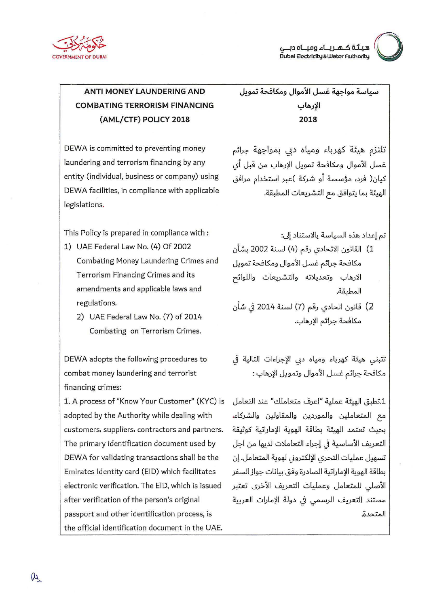



**ANTI MONEY LAUNDERING AND COMBATING TERRORISM FINANCING** (AML/CTF) POLICY 2018

DEWA is committed to preventing money laundering and terrorism financing by any entity (individual, business or company) using DEWA facilities, in compliance with applicable legislations.

This Policy is prepared in compliance with:

- 1) UAE Federal Law No. (4) Of 2002 Combating Money Laundering Crimes and Terrorism Financing Crimes and its amendments and applicable laws and regulations.
	- 2) UAE Federal Law No. (7) of 2014 Combating on Terrorism Crimes.

DEWA adopts the following procedures to combat money laundering and terrorist financing crimes:

1. A process of "Know Your Customer" (KYC) is adopted by the Authority while dealing with customers, suppliers, contractors and partners. The primary identification document used by DEWA for validating transactions shall be the Emirates Identity card (EID) which facilitates electronic verification. The EID, which is issued after verification of the person's original passport and other identification process, is the official identification document in the UAE.

سياسة مواجهة غسل الأموال ومكافحة تمويل الارهاب 2018

تلتزم هيئة كهرباء ومياه ديي بمواجهة جرائم غسل الأموال ومكافحة تمويل الارهاب من قبل أي كيان( فرد، مؤسسة أو شركة )عبر استخدام مرافق الهيئة بما يتوافق مع التشريعات المطبقة.

تم إعداد هذه السياسة بالاستناد إلى:

- 1) القانون الاتحادي رقم (4) لسنة 2002 بشأن مكافحة جرائم غسل الأموال ومكافحة تمويل الارهاب وتعديلاته والتشريعات واللوائح المطبقة.
- 2) قانون اتحادي رقم (7) لسنة 2014 في شأن مكافحة حرائم الإرهاب.

تتبنى هيئة كهرباء ومياه دي الإجراءات التالية في مكافحة جرائم غسل الأموال وتمويل الإرهاب :

1.تطبق الهيئة عملية "اعرف متعاملك" عند التعامل مع المتعاملين والموردين والمقاولين والشركاء، بحيث تعتمد الهيئة بطاقة الهوية الإماراتية كوثيقة التعريف الأساسية في إجراء التعاملات لديها من اجل تسهيل عمليات التحري الإلكتروني لهوية المتعامل. إن بطاقة الهوية الإماراتية الصادرة وفق ببانات جواز السفر الأصلى للمتعامل وعمليات التعريف الأخرى تعتبر مستند التعريف الرسمي في دولة الإمارات العربية المتحدة.